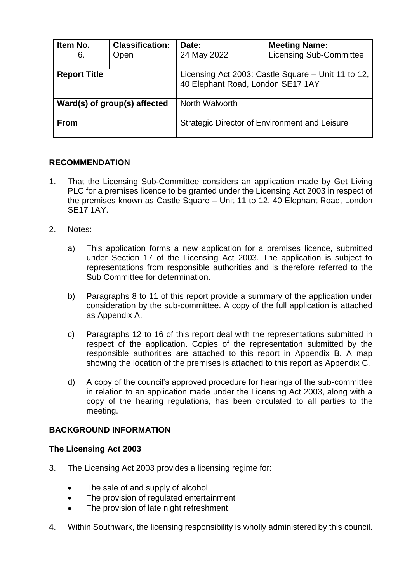| Item No.<br>6.               | <b>Classification:</b><br>Open | Date:<br>24 May 2022                                                                    | <b>Meeting Name:</b><br><b>Licensing Sub-Committee</b> |
|------------------------------|--------------------------------|-----------------------------------------------------------------------------------------|--------------------------------------------------------|
| <b>Report Title</b>          |                                | Licensing Act 2003: Castle Square – Unit 11 to 12,<br>40 Elephant Road, London SE17 1AY |                                                        |
| Ward(s) of group(s) affected |                                | North Walworth                                                                          |                                                        |
| <b>From</b>                  |                                |                                                                                         | <b>Strategic Director of Environment and Leisure</b>   |

### **RECOMMENDATION**

- 1. That the Licensing Sub-Committee considers an application made by Get Living PLC for a premises licence to be granted under the Licensing Act 2003 in respect of the premises known as Castle Square – Unit 11 to 12, 40 Elephant Road, London SE17 1AY.
- 2. Notes:
	- a) This application forms a new application for a premises licence, submitted under Section 17 of the Licensing Act 2003. The application is subject to representations from responsible authorities and is therefore referred to the Sub Committee for determination.
	- b) Paragraphs 8 to 11 of this report provide a summary of the application under consideration by the sub-committee. A copy of the full application is attached as Appendix A.
	- c) Paragraphs 12 to 16 of this report deal with the representations submitted in respect of the application. Copies of the representation submitted by the responsible authorities are attached to this report in Appendix B. A map showing the location of the premises is attached to this report as Appendix C.
	- d) A copy of the council's approved procedure for hearings of the sub-committee in relation to an application made under the Licensing Act 2003, along with a copy of the hearing regulations, has been circulated to all parties to the meeting.

### **BACKGROUND INFORMATION**

### **The Licensing Act 2003**

- 3. The Licensing Act 2003 provides a licensing regime for:
	- The sale of and supply of alcohol
	- The provision of regulated entertainment
	- The provision of late night refreshment.
- 4. Within Southwark, the licensing responsibility is wholly administered by this council.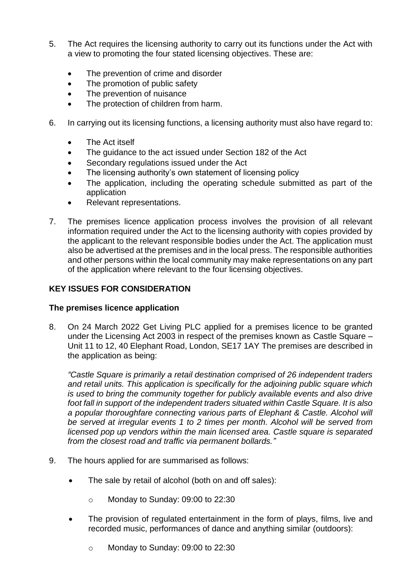- 5. The Act requires the licensing authority to carry out its functions under the Act with a view to promoting the four stated licensing objectives. These are:
	- The prevention of crime and disorder
	- The promotion of public safety
	- The prevention of nuisance
	- The protection of children from harm.
- 6. In carrying out its licensing functions, a licensing authority must also have regard to:
	- The Act itself
	- The guidance to the act issued under Section 182 of the Act
	- Secondary regulations issued under the Act
	- The licensing authority's own statement of licensing policy
	- The application, including the operating schedule submitted as part of the application
	- Relevant representations.
- 7. The premises licence application process involves the provision of all relevant information required under the Act to the licensing authority with copies provided by the applicant to the relevant responsible bodies under the Act. The application must also be advertised at the premises and in the local press. The responsible authorities and other persons within the local community may make representations on any part of the application where relevant to the four licensing objectives.

# **KEY ISSUES FOR CONSIDERATION**

# **The premises licence application**

8. On 24 March 2022 Get Living PLC applied for a premises licence to be granted under the Licensing Act 2003 in respect of the premises known as Castle Square – Unit 11 to 12, 40 Elephant Road, London, SE17 1AY The premises are described in the application as being:

*"Castle Square is primarily a retail destination comprised of 26 independent traders and retail units. This application is specifically for the adjoining public square which is used to bring the community together for publicly available events and also drive foot fall in support of the independent traders situated within Castle Square. It is also a popular thoroughfare connecting various parts of Elephant & Castle. Alcohol will be served at irregular events 1 to 2 times per month. Alcohol will be served from licensed pop up vendors within the main licensed area. Castle square is separated from the closest road and traffic via permanent bollards."*

- 9. The hours applied for are summarised as follows:
	- The sale by retail of alcohol (both on and off sales):
		- o Monday to Sunday: 09:00 to 22:30
	- The provision of regulated entertainment in the form of plays, films, live and recorded music, performances of dance and anything similar (outdoors):
		- o Monday to Sunday: 09:00 to 22:30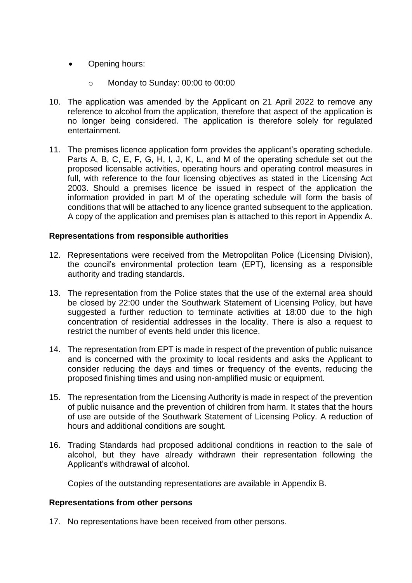- Opening hours:
	- o Monday to Sunday: 00:00 to 00:00
- 10. The application was amended by the Applicant on 21 April 2022 to remove any reference to alcohol from the application, therefore that aspect of the application is no longer being considered. The application is therefore solely for regulated entertainment.
- 11. The premises licence application form provides the applicant's operating schedule. Parts A, B, C, E, F, G, H, I, J, K, L, and M of the operating schedule set out the proposed licensable activities, operating hours and operating control measures in full, with reference to the four licensing objectives as stated in the Licensing Act 2003. Should a premises licence be issued in respect of the application the information provided in part M of the operating schedule will form the basis of conditions that will be attached to any licence granted subsequent to the application. A copy of the application and premises plan is attached to this report in Appendix A.

### **Representations from responsible authorities**

- 12. Representations were received from the Metropolitan Police (Licensing Division), the council's environmental protection team (EPT), licensing as a responsible authority and trading standards.
- 13. The representation from the Police states that the use of the external area should be closed by 22:00 under the Southwark Statement of Licensing Policy, but have suggested a further reduction to terminate activities at 18:00 due to the high concentration of residential addresses in the locality. There is also a request to restrict the number of events held under this licence.
- 14. The representation from EPT is made in respect of the prevention of public nuisance and is concerned with the proximity to local residents and asks the Applicant to consider reducing the days and times or frequency of the events, reducing the proposed finishing times and using non-amplified music or equipment.
- 15. The representation from the Licensing Authority is made in respect of the prevention of public nuisance and the prevention of children from harm. It states that the hours of use are outside of the Southwark Statement of Licensing Policy. A reduction of hours and additional conditions are sought.
- 16. Trading Standards had proposed additional conditions in reaction to the sale of alcohol, but they have already withdrawn their representation following the Applicant's withdrawal of alcohol.

Copies of the outstanding representations are available in Appendix B.

### **Representations from other persons**

17. No representations have been received from other persons.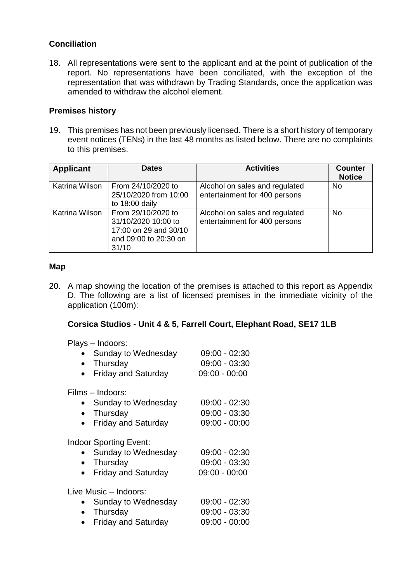# **Conciliation**

18. All representations were sent to the applicant and at the point of publication of the report. No representations have been conciliated, with the exception of the representation that was withdrawn by Trading Standards, once the application was amended to withdraw the alcohol element.

### **Premises history**

19. This premises has not been previously licensed. There is a short history of temporary event notices (TENs) in the last 48 months as listed below. There are no complaints to this premises.

| <b>Applicant</b> | <b>Dates</b>                                                                                         | <b>Activities</b>                                               | <b>Counter</b><br><b>Notice</b> |
|------------------|------------------------------------------------------------------------------------------------------|-----------------------------------------------------------------|---------------------------------|
| Katrina Wilson   | From 24/10/2020 to<br>25/10/2020 from 10:00<br>to 18:00 daily                                        | Alcohol on sales and regulated<br>entertainment for 400 persons | No                              |
| Katrina Wilson   | From 29/10/2020 to<br>31/10/2020 10:00 to<br>17:00 on 29 and 30/10<br>and 09:00 to 20:30 on<br>31/10 | Alcohol on sales and regulated<br>entertainment for 400 persons | <b>No</b>                       |

### **Map**

20. A map showing the location of the premises is attached to this report as Appendix D. The following are a list of licensed premises in the immediate vicinity of the application (100m):

> $09:00 - 02:30$ 09:00 - 03:30  $09:00 - 00:00$

 $09:00 - 02:30$ 09:00 - 03:30  $09:00 - 00:00$ 

# **Corsica Studios - Unit 4 & 5, Farrell Court, Elephant Road, SE17 1LB**

| Plays - Indoors:<br>Sunday to Wednesday |
|-----------------------------------------|
| Thursday                                |
| <b>Friday and Saturday</b>              |
| Films – Indoors:                        |
| Sunday to Wednesday                     |
| Thursday                                |
| <b>Friday and Saturday</b>              |

Indoor Sporting Event:

| • Sunday to Wednesday | 09:00 - 02:30   |
|-----------------------|-----------------|
| • Thursday            | 09:00 - 03:30   |
| • Friday and Saturday | $09:00 - 00:00$ |

Live Music – Indoors:

| • Sunday to Wednesday | $09:00 - 02:30$ |
|-----------------------|-----------------|
| • Thursday            | $09:00 - 03:30$ |
| • Friday and Saturday | $09:00 - 00:00$ |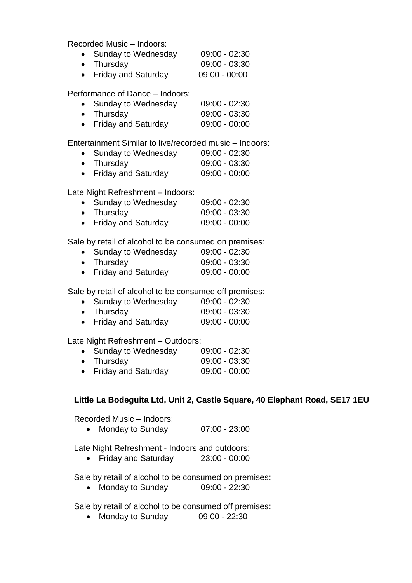Recorded Music – Indoors:

| • Sunday to Wednesday | $09:00 - 02:30$ |
|-----------------------|-----------------|
| $\bullet$ Thursday    | $09:00 - 03:30$ |
| • Friday and Saturday | $09:00 - 00:00$ |

Performance of Dance – Indoors:

| • Sunday to Wednesday | $09:00 - 02:30$ |
|-----------------------|-----------------|
| • Thursday            | $09:00 - 03:30$ |
| • Friday and Saturday | $09:00 - 00:00$ |

Entertainment Similar to live/recorded music – Indoors:

| • Sunday to Wednesday | $09:00 - 02:30$ |
|-----------------------|-----------------|
| $\bullet$ Thursday    | $09:00 - 03:30$ |
|                       |                 |

• Friday and Saturday 09:00 - 00:00

Late Night Refreshment – Indoors:

|           | • Sunday to Wednesday      | $09:00 - 02:30$ |
|-----------|----------------------------|-----------------|
|           | • Thursday                 | $09:00 - 03:30$ |
| $\bullet$ | <b>Friday and Saturday</b> | $09:00 - 00:00$ |

Sale by retail of alcohol to be consumed on premises:

| • Sunday to Wednesday | $09:00 - 02:30$ |
|-----------------------|-----------------|
| • Thursday            | $09:00 - 03:30$ |
| • Friday and Saturday | $09:00 - 00:00$ |

Sale by retail of alcohol to be consumed off premises:

| • Sunday to Wednesday | $09:00 - 02:30$ |
|-----------------------|-----------------|
| • Thursday            | $09:00 - 03:30$ |
| • Friday and Saturday | $09:00 - 00:00$ |

Late Night Refreshment – Outdoors:

| • Sunday to Wednesday | $09:00 - 02:30$ |
|-----------------------|-----------------|
| • Thursday            | $09:00 - 03:30$ |
| • Friday and Saturday | $09:00 - 00:00$ |
|                       |                 |

# **Little La Bodeguita Ltd, Unit 2, Castle Square, 40 Elephant Road, SE17 1EU**

Recorded Music – Indoors:

• Monday to Sunday 07:00 - 23:00

Late Night Refreshment - Indoors and outdoors:

Friday and Saturday 23:00 - 00:00

Sale by retail of alcohol to be consumed on premises:

• Monday to Sunday 09:00 - 22:30

Sale by retail of alcohol to be consumed off premises:

• Monday to Sunday 09:00 - 22:30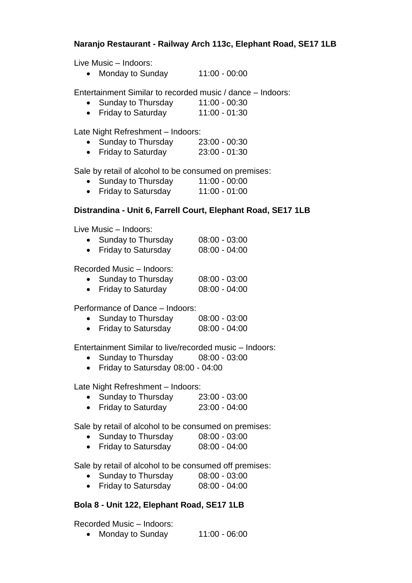# **Naranjo Restaurant - Railway Arch 113c, Elephant Road, SE17 1LB**

Live Music – Indoors:

• Monday to Sunday 11:00 - 00:00

Entertainment Similar to recorded music / dance – Indoors:

- Sunday to Thursday 11:00 00:30
- Friday to Saturday 11:00 01:30

Late Night Refreshment – Indoors:

- Sunday to Thursday 23:00 00:30
- Friday to Saturday 23:00 01:30

Sale by retail of alcohol to be consumed on premises:

- Sunday to Thursday 11:00 00:00
- Friday to Satursday 11:00 01:00

### **Distrandina - Unit 6, Farrell Court, Elephant Road, SE17 1LB**

Live Music – Indoors:

| Sunday to Thursday         | $08:00 - 03:00$ |
|----------------------------|-----------------|
| <b>Friday to Satursday</b> | $08:00 - 04:00$ |

Recorded Music – Indoors:

| $\bullet$ | Sunday to Thursday        | $08:00 - 03:00$ |
|-----------|---------------------------|-----------------|
|           | <b>Friday to Saturday</b> | $08:00 - 04:00$ |

Performance of Dance – Indoors:

| $\bullet$ | Sunday to Thursday         | $08:00 - 03:00$ |
|-----------|----------------------------|-----------------|
|           | <b>Friday to Satursday</b> | $08:00 - 04:00$ |

Entertainment Similar to live/recorded music – Indoors:

- Sunday to Thursday 08:00 03:00
- Friday to Satursday 08:00 04:00

Late Night Refreshment – Indoors:

- Sunday to Thursday 23:00 03:00
- Friday to Saturday  $23:00 04:00$

Sale by retail of alcohol to be consumed on premises:

- Sunday to Thursday 08:00 03:00
- Friday to Satursday 08:00 04:00

Sale by retail of alcohol to be consumed off premises:

- Sunday to Thursday 08:00 03:00
- Friday to Satursday 08:00 04:00

# **Bola 8 - Unit 122, Elephant Road, SE17 1LB**

Recorded Music – Indoors:

• Monday to Sunday 11:00 - 06:00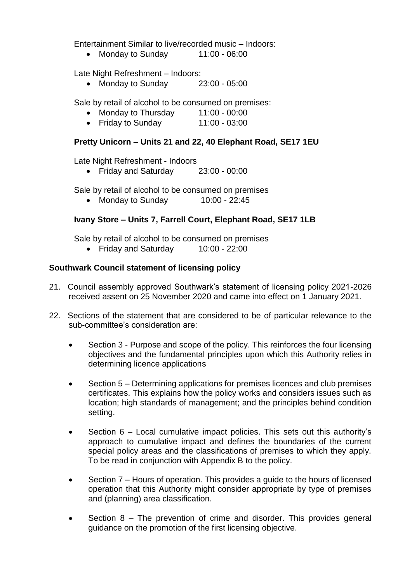Entertainment Similar to live/recorded music – Indoors:

• Monday to Sunday 11:00 - 06:00

Late Night Refreshment – Indoors:

• Monday to Sunday 23:00 - 05:00

Sale by retail of alcohol to be consumed on premises:

- Monday to Thursday 11:00 00:00
- Friday to Sunday 11:00 03:00

### **Pretty Unicorn – Units 21 and 22, 40 Elephant Road, SE17 1EU**

Late Night Refreshment - Indoors

Friday and Saturday 23:00 - 00:00

Sale by retail of alcohol to be consumed on premises

• Monday to Sunday 10:00 - 22:45

### **Ivany Store – Units 7, Farrell Court, Elephant Road, SE17 1LB**

Sale by retail of alcohol to be consumed on premises

• Friday and Saturday 10:00 - 22:00

### **Southwark Council statement of licensing policy**

- 21. Council assembly approved Southwark's statement of licensing policy 2021-2026 received assent on 25 November 2020 and came into effect on 1 January 2021.
- 22. Sections of the statement that are considered to be of particular relevance to the sub-committee's consideration are:
	- Section 3 Purpose and scope of the policy. This reinforces the four licensing objectives and the fundamental principles upon which this Authority relies in determining licence applications
	- Section 5 Determining applications for premises licences and club premises certificates. This explains how the policy works and considers issues such as location; high standards of management; and the principles behind condition setting.
	- Section 6 Local cumulative impact policies. This sets out this authority's approach to cumulative impact and defines the boundaries of the current special policy areas and the classifications of premises to which they apply. To be read in conjunction with Appendix B to the policy.
	- Section 7 Hours of operation. This provides a guide to the hours of licensed operation that this Authority might consider appropriate by type of premises and (planning) area classification.
	- Section 8 The prevention of crime and disorder. This provides general guidance on the promotion of the first licensing objective.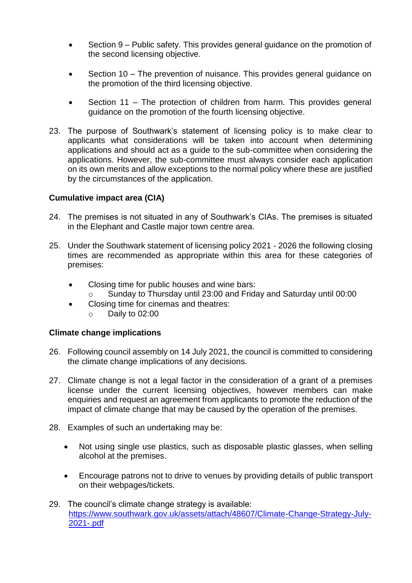- Section 9 Public safety. This provides general guidance on the promotion of the second licensing objective.
- Section 10 The prevention of nuisance. This provides general guidance on the promotion of the third licensing objective.
- Section 11 The protection of children from harm. This provides general guidance on the promotion of the fourth licensing objective.
- 23. The purpose of Southwark's statement of licensing policy is to make clear to applicants what considerations will be taken into account when determining applications and should act as a guide to the sub-committee when considering the applications. However, the sub-committee must always consider each application on its own merits and allow exceptions to the normal policy where these are justified by the circumstances of the application.

### **Cumulative impact area (CIA)**

- 24. The premises is not situated in any of Southwark's CIAs. The premises is situated in the Elephant and Castle major town centre area.
- 25. Under the Southwark statement of licensing policy 2021 2026 the following closing times are recommended as appropriate within this area for these categories of premises:
	- Closing time for public houses and wine bars:
		- o Sunday to Thursday until 23:00 and Friday and Saturday until 00:00
	- Closing time for cinemas and theatres:
		- o Daily to 02:00

### **Climate change implications**

- 26. Following council assembly on 14 July 2021, the council is committed to considering the climate change implications of any decisions.
- 27. Climate change is not a legal factor in the consideration of a grant of a premises license under the current licensing objectives, however members can make enquiries and request an agreement from applicants to promote the reduction of the impact of climate change that may be caused by the operation of the premises.
- 28. Examples of such an undertaking may be:
	- Not using single use plastics, such as disposable plastic glasses, when selling alcohol at the premises.
	- Encourage patrons not to drive to venues by providing details of public transport on their webpages/tickets.
- 29. The council's climate change strategy is available: [https://www.southwark.gov.uk/assets/attach/48607/Climate-Change-Strategy-July-](https://www.southwark.gov.uk/assets/attach/48607/Climate-Change-Strategy-July-2021-.pdf)[2021-.pdf](https://www.southwark.gov.uk/assets/attach/48607/Climate-Change-Strategy-July-2021-.pdf)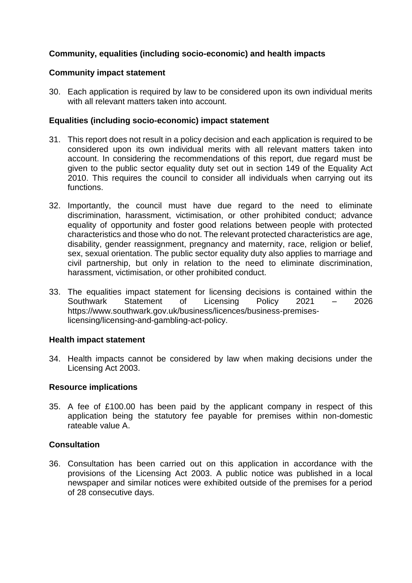# **Community, equalities (including socio-economic) and health impacts**

### **Community impact statement**

30. Each application is required by law to be considered upon its own individual merits with all relevant matters taken into account.

### **Equalities (including socio-economic) impact statement**

- 31. This report does not result in a policy decision and each application is required to be considered upon its own individual merits with all relevant matters taken into account. In considering the recommendations of this report, due regard must be given to the public sector equality duty set out in section 149 of the Equality Act 2010. This requires the council to consider all individuals when carrying out its functions.
- 32. Importantly, the council must have due regard to the need to eliminate discrimination, harassment, victimisation, or other prohibited conduct; advance equality of opportunity and foster good relations between people with protected characteristics and those who do not. The relevant protected characteristics are age, disability, gender reassignment, pregnancy and maternity, race, religion or belief, sex, sexual orientation. The public sector equality duty also applies to marriage and civil partnership, but only in relation to the need to eliminate discrimination, harassment, victimisation, or other prohibited conduct.
- 33. The equalities impact statement for licensing decisions is contained within the Southwark Statement of Licensing Policy 2021 – 2026 [https://www.southwark.gov.uk/business/licences/business-premises](https://www.southwark.gov.uk/business/licences/business-premises-licensing/licensing-and-gambling-act-policy)[licensing/licensing-and-gambling-act-policy.](https://www.southwark.gov.uk/business/licences/business-premises-licensing/licensing-and-gambling-act-policy)

### **Health impact statement**

34. Health impacts cannot be considered by law when making decisions under the Licensing Act 2003.

### **Resource implications**

35. A fee of £100.00 has been paid by the applicant company in respect of this application being the statutory fee payable for premises within non-domestic rateable value A.

# **Consultation**

36. Consultation has been carried out on this application in accordance with the provisions of the Licensing Act 2003. A public notice was published in a local newspaper and similar notices were exhibited outside of the premises for a period of 28 consecutive days.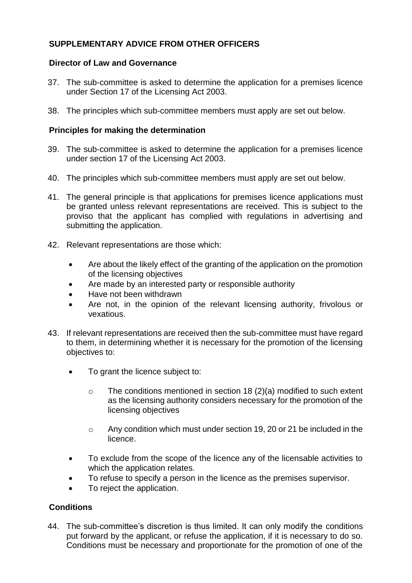# **SUPPLEMENTARY ADVICE FROM OTHER OFFICERS**

### **Director of Law and Governance**

- 37. The sub-committee is asked to determine the application for a premises licence under Section 17 of the Licensing Act 2003.
- 38. The principles which sub-committee members must apply are set out below.

### **Principles for making the determination**

- 39. The sub-committee is asked to determine the application for a premises licence under section 17 of the Licensing Act 2003.
- 40. The principles which sub-committee members must apply are set out below.
- 41. The general principle is that applications for premises licence applications must be granted unless relevant representations are received. This is subject to the proviso that the applicant has complied with regulations in advertising and submitting the application.
- 42. Relevant representations are those which:
	- Are about the likely effect of the granting of the application on the promotion of the licensing objectives
	- Are made by an interested party or responsible authority
	- Have not been withdrawn
	- Are not, in the opinion of the relevant licensing authority, frivolous or vexatious.
- 43. If relevant representations are received then the sub-committee must have regard to them, in determining whether it is necessary for the promotion of the licensing objectives to:
	- To grant the licence subject to:
		- $\circ$  The conditions mentioned in section 18 (2)(a) modified to such extent as the licensing authority considers necessary for the promotion of the licensing objectives
		- o Any condition which must under section 19, 20 or 21 be included in the licence.
	- To exclude from the scope of the licence any of the licensable activities to which the application relates.
	- To refuse to specify a person in the licence as the premises supervisor.
	- To reject the application.

# **Conditions**

44. The sub-committee's discretion is thus limited. It can only modify the conditions put forward by the applicant, or refuse the application, if it is necessary to do so. Conditions must be necessary and proportionate for the promotion of one of the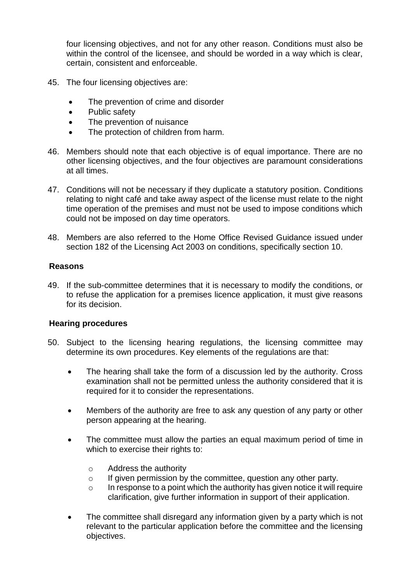four licensing objectives, and not for any other reason. Conditions must also be within the control of the licensee, and should be worded in a way which is clear, certain, consistent and enforceable.

- 45. The four licensing objectives are:
	- The prevention of crime and disorder
	- Public safety
	- The prevention of nuisance
	- The protection of children from harm.
- 46. Members should note that each objective is of equal importance. There are no other licensing objectives, and the four objectives are paramount considerations at all times.
- 47. Conditions will not be necessary if they duplicate a statutory position. Conditions relating to night café and take away aspect of the license must relate to the night time operation of the premises and must not be used to impose conditions which could not be imposed on day time operators.
- 48. Members are also referred to the Home Office Revised Guidance issued under section 182 of the Licensing Act 2003 on conditions, specifically section 10.

#### **Reasons**

49. If the sub-committee determines that it is necessary to modify the conditions, or to refuse the application for a premises licence application, it must give reasons for its decision.

### **Hearing procedures**

- 50. Subject to the licensing hearing regulations, the licensing committee may determine its own procedures. Key elements of the regulations are that:
	- The hearing shall take the form of a discussion led by the authority. Cross examination shall not be permitted unless the authority considered that it is required for it to consider the representations.
	- Members of the authority are free to ask any question of any party or other person appearing at the hearing.
	- The committee must allow the parties an equal maximum period of time in which to exercise their rights to:
		- o Address the authority
		- o If given permission by the committee, question any other party.
		- $\circ$  In response to a point which the authority has given notice it will require clarification, give further information in support of their application.
	- The committee shall disregard any information given by a party which is not relevant to the particular application before the committee and the licensing objectives.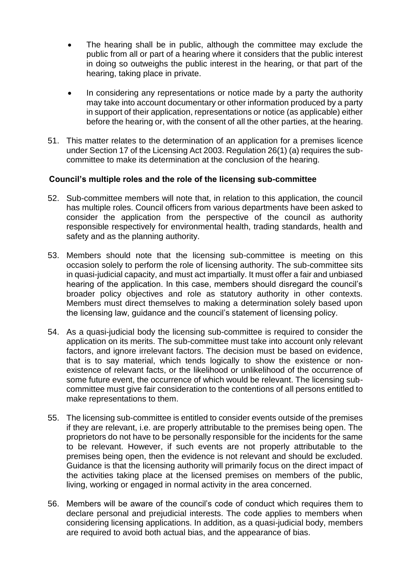- The hearing shall be in public, although the committee may exclude the public from all or part of a hearing where it considers that the public interest in doing so outweighs the public interest in the hearing, or that part of the hearing, taking place in private.
- In considering any representations or notice made by a party the authority may take into account documentary or other information produced by a party in support of their application, representations or notice (as applicable) either before the hearing or, with the consent of all the other parties, at the hearing.
- 51. This matter relates to the determination of an application for a premises licence under Section 17 of the Licensing Act 2003. Regulation 26(1) (a) requires the subcommittee to make its determination at the conclusion of the hearing.

### **Council's multiple roles and the role of the licensing sub-committee**

- 52. Sub-committee members will note that, in relation to this application, the council has multiple roles. Council officers from various departments have been asked to consider the application from the perspective of the council as authority responsible respectively for environmental health, trading standards, health and safety and as the planning authority.
- 53. Members should note that the licensing sub-committee is meeting on this occasion solely to perform the role of licensing authority. The sub-committee sits in quasi-judicial capacity, and must act impartially. It must offer a fair and unbiased hearing of the application. In this case, members should disregard the council's broader policy objectives and role as statutory authority in other contexts. Members must direct themselves to making a determination solely based upon the licensing law, guidance and the council's statement of licensing policy.
- 54. As a quasi-judicial body the licensing sub-committee is required to consider the application on its merits. The sub-committee must take into account only relevant factors, and ignore irrelevant factors. The decision must be based on evidence, that is to say material, which tends logically to show the existence or nonexistence of relevant facts, or the likelihood or unlikelihood of the occurrence of some future event, the occurrence of which would be relevant. The licensing subcommittee must give fair consideration to the contentions of all persons entitled to make representations to them.
- 55. The licensing sub-committee is entitled to consider events outside of the premises if they are relevant, i.e. are properly attributable to the premises being open. The proprietors do not have to be personally responsible for the incidents for the same to be relevant. However, if such events are not properly attributable to the premises being open, then the evidence is not relevant and should be excluded. Guidance is that the licensing authority will primarily focus on the direct impact of the activities taking place at the licensed premises on members of the public, living, working or engaged in normal activity in the area concerned.
- 56. Members will be aware of the council's code of conduct which requires them to declare personal and prejudicial interests. The code applies to members when considering licensing applications. In addition, as a quasi-judicial body, members are required to avoid both actual bias, and the appearance of bias.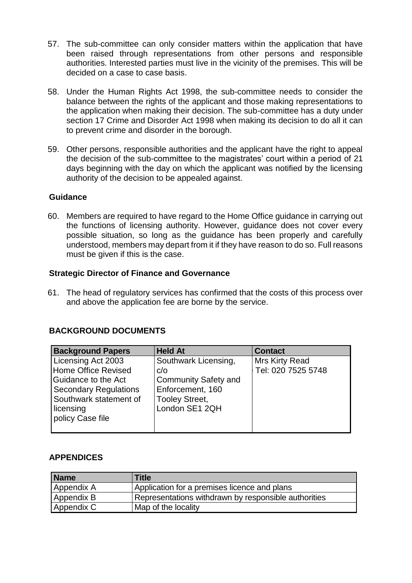- 57. The sub-committee can only consider matters within the application that have been raised through representations from other persons and responsible authorities. Interested parties must live in the vicinity of the premises. This will be decided on a case to case basis.
- 58. Under the Human Rights Act 1998, the sub-committee needs to consider the balance between the rights of the applicant and those making representations to the application when making their decision. The sub-committee has a duty under section 17 Crime and Disorder Act 1998 when making its decision to do all it can to prevent crime and disorder in the borough.
- 59. Other persons, responsible authorities and the applicant have the right to appeal the decision of the sub-committee to the magistrates' court within a period of 21 days beginning with the day on which the applicant was notified by the licensing authority of the decision to be appealed against.

#### **Guidance**

60. Members are required to have regard to the Home Office guidance in carrying out the functions of licensing authority. However, guidance does not cover every possible situation, so long as the guidance has been properly and carefully understood, members may depart from it if they have reason to do so. Full reasons must be given if this is the case.

#### **Strategic Director of Finance and Governance**

61. The head of regulatory services has confirmed that the costs of this process over and above the application fee are borne by the service.

# **BACKGROUND DOCUMENTS**

| <b>Background Papers</b>     | <b>Held At</b>              | <b>Contact</b>     |
|------------------------------|-----------------------------|--------------------|
| Licensing Act 2003           | Southwark Licensing,        | Mrs Kirty Read     |
| Home Office Revised          | C/O                         | Tel: 020 7525 5748 |
| Guidance to the Act          | <b>Community Safety and</b> |                    |
| <b>Secondary Regulations</b> | Enforcement, 160            |                    |
| Southwark statement of       | <b>Tooley Street,</b>       |                    |
| licensing                    | London SE1 2QH              |                    |
| policy Case file             |                             |                    |
|                              |                             |                    |

### **APPENDICES**

| <b>Name</b> | Title                                                |
|-------------|------------------------------------------------------|
| Appendix A  | Application for a premises licence and plans         |
| Appendix B  | Representations withdrawn by responsible authorities |
| Appendix C  | Map of the locality                                  |